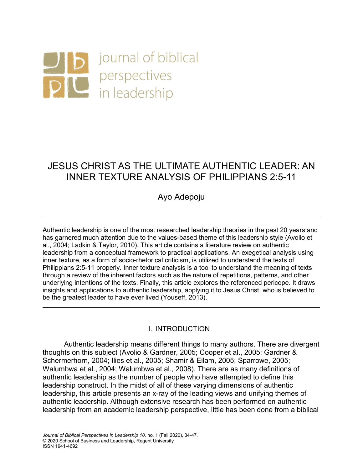

# JESUS CHRIST AS THE ULTIMATE AUTHENTIC LEADER: AN INNER TEXTURE ANALYSIS OF PHILIPPIANS 2:5-11

Ayo Adepoju

Authentic leadership is one of the most researched leadership theories in the past 20 years and has garnered much attention due to the values-based theme of this leadership style (Avolio et al., 2004; Ladkin & Taylor, 2010). This article contains a literature review on authentic leadership from a conceptual framework to practical applications. An exegetical analysis using inner texture, as a form of socio-rhetorical criticism, is utilized to understand the texts of Philippians 2:5-11 properly. Inner texture analysis is a tool to understand the meaning of texts through a review of the inherent factors such as the nature of repetitions, patterns, and other underlying intentions of the texts. Finally, this article explores the referenced pericope. It draws insights and applications to authentic leadership, applying it to Jesus Christ, who is believed to be the greatest leader to have ever lived (Youseff, 2013).

# I. INTRODUCTION

Authentic leadership means different things to many authors. There are divergent thoughts on this subject (Avolio & Gardner, 2005; Cooper et al., 2005; Gardner & Schermerhorn, 2004; Ilies et al., 2005; Shamir & Eilam, 2005; Sparrowe, 2005; Walumbwa et al., 2004; Walumbwa et al., 2008). There are as many definitions of authentic leadership as the number of people who have attempted to define this leadership construct. In the midst of all of these varying dimensions of authentic leadership, this article presents an x-ray of the leading views and unifying themes of authentic leadership. Although extensive research has been performed on authentic leadership from an academic leadership perspective, little has been done from a biblical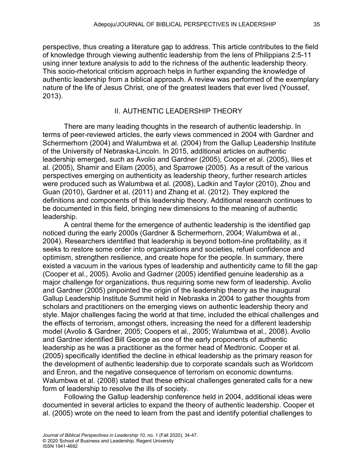perspective, thus creating a literature gap to address. This article contributes to the field of knowledge through viewing authentic leadership from the lens of Philippians 2:5-11 using inner texture analysis to add to the richness of the authentic leadership theory. This socio-rhetorical criticism approach helps in further expanding the knowledge of authentic leadership from a biblical approach. A review was performed of the exemplary nature of the life of Jesus Christ, one of the greatest leaders that ever lived (Youssef, 2013).

### II. AUTHENTIC LEADERSHIP THEORY

There are many leading thoughts in the research of authentic leadership. In terms of peer-reviewed articles, the early views commenced in 2004 with Gardner and Schermerhorn (2004) and Walumbwa et al. (2004) from the Gallup Leadership Institute of the University of Nebraska-Lincoln. In 2015, additional articles on authentic leadership emerged, such as Avolio and Gardner (2005), Cooper et al. (2005), Ilies et al. (2005), Shamir and Eilam (2005), and Sparrowe (2005). As a result of the various perspectives emerging on authenticity as leadership theory, further research articles were produced such as Walumbwa et al. (2008), Ladkin and Taylor (2010), Zhou and Guan (2010), Gardner et al. (2011) and Zhang et al. (2012). They explored the definitions and components of this leadership theory. Additional research continues to be documented in this field, bringing new dimensions to the meaning of authentic leadership.

A central theme for the emergence of authentic leadership is the identified gap noticed during the early 2000s (Gardner & Schermerhorn, 2004; Walumbwa et al., 2004). Researchers identified that leadership is beyond bottom-line profitability, as it seeks to restore some order into organizations and societies, refuel confidence and optimism, strengthen resilience, and create hope for the people. In summary, there existed a vacuum in the various types of leadership and authenticity came to fill the gap (Cooper et al., 2005). Avolio and Gadrner (2005) identified genuine leadership as a major challenge for organizations, thus requiring some new form of leadership. Avolio and Gardner (2005) pinpointed the origin of the leadership theory as the inaugural Gallup Leadership Institute Summit held in Nebraska in 2004 to gather thoughts from scholars and practitioners on the emerging views on authentic leadership theory and style. Major challenges facing the world at that time, included the ethical challenges and the effects of terrorism, amongst others, increasing the need for a different leadership model (Avolio & Gardner, 2005; Coopers et al., 2005; Walumbwa et al., 2008). Avolio and Gardner identified Bill George as one of the early proponents of authentic leadership as he was a practitioner as the former head of Medtronic. Cooper et al. (2005) specifically identified the decline in ethical leadership as the primary reason for the development of authentic leadership due to corporate scandals such as Worldcom and Enron, and the negative consequence of terrorism on economic downturns. Walumbwa et al. (2008) stated that these ethical challenges generated calls for a new form of leadership to resolve the ills of society.

Following the Gallup leadership conference held in 2004, additional ideas were documented in several articles to expand the theory of authentic leadership. Cooper et al. (2005) wrote on the need to learn from the past and identify potential challenges to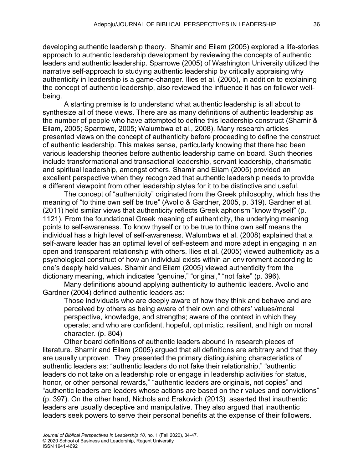developing authentic leadership theory. Shamir and Eilam (2005) explored a life-stories approach to authentic leadership development by reviewing the concepts of authentic leaders and authentic leadership. Sparrowe (2005) of Washington University utilized the narrative self-approach to studying authentic leadership by critically appraising why authenticity in leadership is a game-changer. Ilies et al. (2005), in addition to explaining the concept of authentic leadership, also reviewed the influence it has on follower wellbeing.

A starting premise is to understand what authentic leadership is all about to synthesize all of these views. There are as many definitions of authentic leadership as the number of people who have attempted to define this leadership construct (Shamir & Eilam, 2005; Sparrowe, 2005; Walumbwa et al., 2008). Many research articles presented views on the concept of authenticity before proceeding to define the construct of authentic leadership. This makes sense, particularly knowing that there had been various leadership theories before authentic leadership came on board. Such theories include transformational and transactional leadership, servant leadership, charismatic and spiritual leadership, amongst others. Shamir and Eilam (2005) provided an excellent perspective when they recognized that authentic leadership needs to provide a different viewpoint from other leadership styles for it to be distinctive and useful.

The concept of "authenticity" originated from the Greek philosophy, which has the meaning of "to thine own self be true" (Avolio & Gardner, 2005, p. 319). Gardner et al. (2011) held similar views that authenticity reflects Greek aphorism "know thyself" (p. 1121). From the foundational Greek meaning of authenticity, the underlying meaning points to self-awareness. To know thyself or to be true to thine own self means the individual has a high level of self-awareness. Walumbwa et al. (2008) explained that a self-aware leader has an optimal level of self-esteem and more adept in engaging in an open and transparent relationship with others. Ilies et al. (2005) viewed authenticity as a psychological construct of how an individual exists within an environment according to one's deeply held values. Shamir and Eilam (2005) viewed authenticity from the dictionary meaning, which indicates "genuine," "original," "not fake" (p. 396).

Many definitions abound applying authenticity to authentic leaders. Avolio and Gardner (2004) defined authentic leaders as:

Those individuals who are deeply aware of how they think and behave and are perceived by others as being aware of their own and others' values/moral perspective, knowledge, and strengths; aware of the context in which they operate; and who are confident, hopeful, optimistic, resilient, and high on moral character. (p. 804)

Other board definitions of authentic leaders abound in research pieces of literature. Shamir and Eilam (2005) argued that all definitions are arbitrary and that they are usually unproven. They presented the primary distinguishing characteristics of authentic leaders as: "authentic leaders do not fake their relationship," "authentic leaders do not take on a leadership role or engage in leadership activities for status, honor, or other personal rewards," "authentic leaders are originals, not copies" and "authentic leaders are leaders whose actions are based on their values and convictions" (p. 397). On the other hand, Nichols and Erakovich (2013) asserted that inauthentic leaders are usually deceptive and manipulative. They also argued that inauthentic leaders seek powers to serve their personal benefits at the expense of their followers.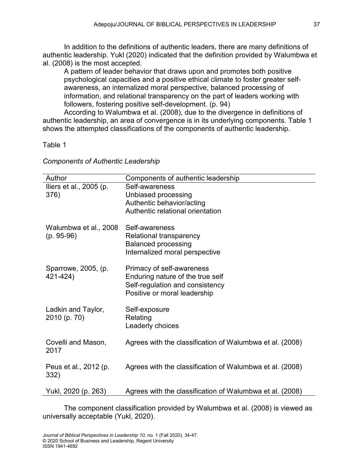In addition to the definitions of authentic leaders, there are many definitions of authentic leadership. Yukl (2020) indicated that the definition provided by Walumbwa et al. (2008) is the most accepted.

A pattern of leader behavior that draws upon and promotes both positive psychological capacities and a positive ethical climate to foster greater selfawareness, an internalized moral perspective, balanced processing of information, and relational transparency on the part of leaders working with followers, fostering positive self-development. (p. 94)

According to Walumbwa et al. (2008), due to the divergence in definitions of authentic leadership, an area of convergence is in its underlying components. Table 1 shows the attempted classifications of the components of authentic leadership.

# Table 1

*Components of Authentic Leadership*

| Author                                | Components of authentic leadership                                                                                               |
|---------------------------------------|----------------------------------------------------------------------------------------------------------------------------------|
| Iliers et al., 2005 (p.<br>376)       | Self-awareness<br>Unbiased processing<br>Authentic behavior/acting<br>Authentic relational orientation                           |
| Walumbwa et al., 2008<br>$(p. 95-96)$ | Self-awareness<br>Relational transparency<br><b>Balanced processing</b><br>Internalized moral perspective                        |
| Sparrowe, 2005, (p.<br>421-424)       | Primacy of self-awareness<br>Enduring nature of the true self<br>Self-regulation and consistency<br>Positive or moral leadership |
| Ladkin and Taylor,<br>2010 (p. 70)    | Self-exposure<br>Relating<br>Leaderly choices                                                                                    |
| Covelli and Mason,<br>2017            | Agrees with the classification of Walumbwa et al. (2008)                                                                         |
| Peus et al., 2012 (p.<br>332)         | Agrees with the classification of Walumbwa et al. (2008)                                                                         |
| Yukl, 2020 (p. 263)                   | Agrees with the classification of Walumbwa et al. (2008)                                                                         |

The component classification provided by Walumbwa et al. (2008) is viewed as universally acceptable (Yukl, 2020).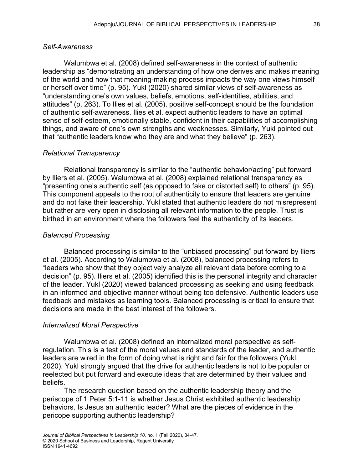# *Self-Awareness*

Walumbwa et al. (2008) defined self-awareness in the context of authentic leadership as "demonstrating an understanding of how one derives and makes meaning of the world and how that meaning-making process impacts the way one views himself or herself over time" (p. 95). Yukl (2020) shared similar views of self-awareness as "understanding one's own values, beliefs, emotions, self-identities, abilities, and attitudes" (p. 263). To Ilies et al. (2005), positive self-concept should be the foundation of authentic self-awareness. Ilies et al. expect authentic leaders to have an optimal sense of self-esteem, emotionally stable, confident in their capabilities of accomplishing things, and aware of one's own strengths and weaknesses. Similarly, Yukl pointed out that "authentic leaders know who they are and what they believe" (p. 263).

#### *Relational Transparency*

Relational transparency is similar to the "authentic behavior/acting" put forward by Iliers et al. (2005). Walumbwa et al. (2008) explained relational transparency as "presenting one's authentic self (as opposed to fake or distorted self) to others" (p. 95). This component appeals to the root of authenticity to ensure that leaders are genuine and do not fake their leadership. Yukl stated that authentic leaders do not misrepresent but rather are very open in disclosing all relevant information to the people. Trust is birthed in an environment where the followers feel the authenticity of its leaders.

#### *Balanced Processing*

Balanced processing is similar to the "unbiased processing" put forward by Iliers et al. (2005). According to Walumbwa et al. (2008), balanced processing refers to "leaders who show that they objectively analyze all relevant data before coming to a decision" (p. 95). Iliers et al. (2005) identified this is the personal integrity and character of the leader. Yukl (2020) viewed balanced processing as seeking and using feedback in an informed and objective manner without being too defensive. Authentic leaders use feedback and mistakes as learning tools. Balanced processing is critical to ensure that decisions are made in the best interest of the followers.

#### *Internalized Moral Perspective*

Walumbwa et al. (2008) defined an internalized moral perspective as selfregulation. This is a test of the moral values and standards of the leader, and authentic leaders are wired in the form of doing what is right and fair for the followers (Yukl, 2020). Yukl strongly argued that the drive for authentic leaders is not to be popular or reelected but put forward and execute ideas that are determined by their values and beliefs.

The research question based on the authentic leadership theory and the periscope of 1 Peter 5:1-11 is whether Jesus Christ exhibited authentic leadership behaviors. Is Jesus an authentic leader? What are the pieces of evidence in the pericope supporting authentic leadership?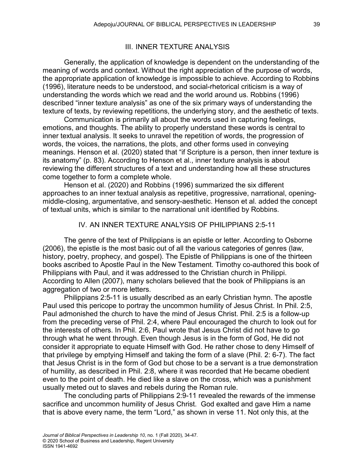### III. INNER TEXTURE ANALYSIS

Generally, the application of knowledge is dependent on the understanding of the meaning of words and context. Without the right appreciation of the purpose of words, the appropriate application of knowledge is impossible to achieve. According to Robbins (1996), literature needs to be understood, and social-rhetorical criticism is a way of understanding the words which we read and the world around us. Robbins (1996) described "inner texture analysis" as one of the six primary ways of understanding the texture of texts, by reviewing repetitions, the underlying story, and the aesthetic of texts.

Communication is primarily all about the words used in capturing feelings, emotions, and thoughts. The ability to properly understand these words is central to inner textual analysis. It seeks to unravel the repetition of words, the progression of words, the voices, the narrations, the plots, and other forms used in conveying meanings. Henson et al. (2020) stated that "if Scripture is a person, then inner texture is its anatomy" (p. 83). According to Henson et al., inner texture analysis is about reviewing the different structures of a text and understanding how all these structures come together to form a complete whole.

Henson et al. (2020) and Robbins (1996) summarized the six different approaches to an inner textual analysis as repetitive, progressive, narrational, openingmiddle-closing, argumentative, and sensory-aesthetic. Henson et al. added the concept of textual units, which is similar to the narrational unit identified by Robbins.

#### IV. AN INNER TEXTURE ANALYSIS OF PHILIPPIANS 2:5-11

The genre of the text of Philippians is an epistle or letter. According to Osborne (2006), the epistle is the most basic out of all the various categories of genres (law, history, poetry, prophecy, and gospel). The Epistle of Philippians is one of the thirteen books ascribed to Apostle Paul in the New Testament. Timothy co-authored this book of Philippians with Paul, and it was addressed to the Christian church in Philippi. According to Allen (2007), many scholars believed that the book of Philippians is an aggregation of two or more letters.

Philippians 2:5-11 is usually described as an early Christian hymn. The apostle Paul used this pericope to portray the uncommon humility of Jesus Christ. In Phil. 2:5, Paul admonished the church to have the mind of Jesus Christ. Phil. 2:5 is a follow-up from the preceding verse of Phil. 2:4, where Paul encouraged the church to look out for the interests of others. In Phil. 2:6, Paul wrote that Jesus Christ did not have to go through what he went through. Even though Jesus is in the form of God, He did not consider it appropriate to equate Himself with God. He rather chose to deny Himself of that privilege by emptying Himself and taking the form of a slave (Phil. 2: 6-7). The fact that Jesus Christ is in the form of God but chose to be a servant is a true demonstration of humility, as described in Phil. 2:8, where it was recorded that He became obedient even to the point of death. He died like a slave on the cross, which was a punishment usually meted out to slaves and rebels during the Roman rule.

The concluding parts of Philippians 2:9-11 revealed the rewards of the immense sacrifice and uncommon humility of Jesus Christ. God exalted and gave Him a name that is above every name, the term "Lord," as shown in verse 11. Not only this, at the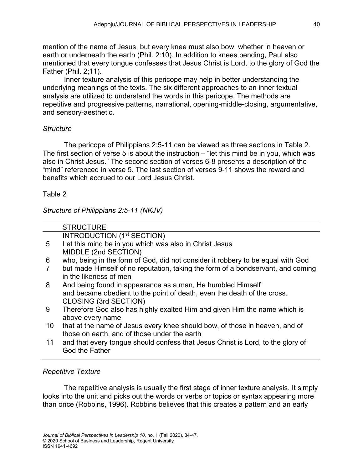mention of the name of Jesus, but every knee must also bow, whether in heaven or earth or underneath the earth (Phil. 2:10). In addition to knees bending, Paul also mentioned that every tongue confesses that Jesus Christ is Lord, to the glory of God the Father (Phil. 2;11).

Inner texture analysis of this pericope may help in better understanding the underlying meanings of the texts. The six different approaches to an inner textual analysis are utilized to understand the words in this pericope. The methods are repetitive and progressive patterns, narrational, opening-middle-closing, argumentative, and sensory-aesthetic.

# *Structure*

The pericope of Philippians 2:5-11 can be viewed as three sections in Table 2. The first section of verse 5 is about the instruction – "let this mind be in you, which was also in Christ Jesus." The second section of verses 6-8 presents a description of the "mind" referenced in verse 5. The last section of verses 9-11 shows the reward and benefits which accrued to our Lord Jesus Christ.

# Table 2

*Structure of Philippians 2:5-11 (NKJV)*

| who, being in the form of God, did not consider it robbery to be equal with God |
|---------------------------------------------------------------------------------|
| but made Himself of no reputation, taking the form of a bondservant, and coming |
|                                                                                 |
|                                                                                 |
| and became obedient to the point of death, even the death of the cross.         |
|                                                                                 |
| Therefore God also has highly exalted Him and given Him the name which is       |
|                                                                                 |
| that at the name of Jesus every knee should bow, of those in heaven, and of     |
|                                                                                 |
| and that every tongue should confess that Jesus Christ is Lord, to the glory of |
|                                                                                 |
|                                                                                 |

# *Repetitive Texture*

The repetitive analysis is usually the first stage of inner texture analysis. It simply looks into the unit and picks out the words or verbs or topics or syntax appearing more than once (Robbins, 1996). Robbins believes that this creates a pattern and an early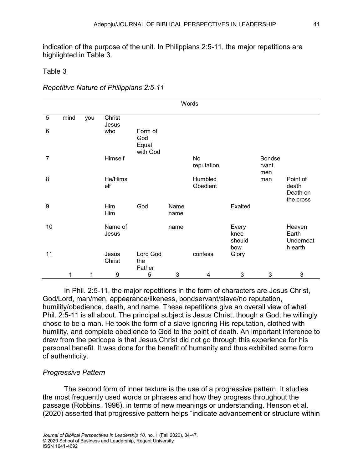indication of the purpose of the unit. In Philippians 2:5-11, the major repetitions are highlighted in Table 3.

### Table 3

*Repetitive Nature of Philippians 2:5-11*

|                | Words |     |                  |                                     |              |                         |                                |                               |                                            |  |  |
|----------------|-------|-----|------------------|-------------------------------------|--------------|-------------------------|--------------------------------|-------------------------------|--------------------------------------------|--|--|
| 5              | mind  | you | Christ<br>Jesus  |                                     |              |                         |                                |                               |                                            |  |  |
| 6              |       |     | who              | Form of<br>God<br>Equal<br>with God |              |                         |                                |                               |                                            |  |  |
| $\overline{7}$ |       |     | Himself          |                                     |              | <b>No</b><br>reputation |                                | <b>Bondse</b><br>rvant<br>men |                                            |  |  |
| 8              |       |     | He/Hims<br>elf   |                                     |              | Humbled<br>Obedient     |                                | man                           | Point of<br>death<br>Death on<br>the cross |  |  |
| 9              |       |     | Him<br>Him       | God                                 | Name<br>name |                         | Exalted                        |                               |                                            |  |  |
| 10             |       |     | Name of<br>Jesus |                                     | name         |                         | Every<br>knee<br>should<br>bow |                               | Heaven<br>Earth<br>Underneat<br>h earth    |  |  |
| 11             |       |     | Jesus<br>Christ  | Lord God<br>the<br>Father           |              | confess                 | Glory                          |                               |                                            |  |  |
|                | 1     |     | 9                | 5                                   | 3            | 4                       | 3                              | 3                             | 3                                          |  |  |

In Phil. 2:5-11, the major repetitions in the form of characters are Jesus Christ, God/Lord, man/men, appearance/likeness, bondservant/slave/no reputation, humility/obedience, death, and name. These repetitions give an overall view of what Phil. 2:5-11 is all about. The principal subject is Jesus Christ, though a God; he willingly chose to be a man. He took the form of a slave ignoring His reputation, clothed with humility, and complete obedience to God to the point of death. An important inference to draw from the pericope is that Jesus Christ did not go through this experience for his personal benefit. It was done for the benefit of humanity and thus exhibited some form of authenticity.

# *Progressive Pattern*

The second form of inner texture is the use of a progressive pattern. It studies the most frequently used words or phrases and how they progress throughout the passage (Robbins, 1996), in terms of new meanings or understanding. Henson et al. (2020) asserted that progressive pattern helps "indicate advancement or structure within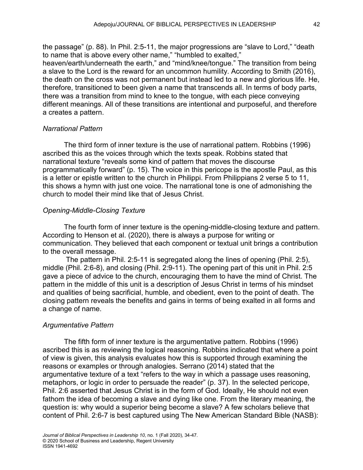the passage" (p. 88). In Phil. 2:5-11, the major progressions are "slave to Lord," "death to name that is above every other name," "humbled to exalted," heaven/earth/underneath the earth," and "mind/knee/tongue." The transition from being a slave to the Lord is the reward for an uncommon humility. According to Smith (2016), the death on the cross was not permanent but instead led to a new and glorious life. He, therefore, transitioned to been given a name that transcends all. In terms of body parts, there was a transition from mind to knee to the tongue, with each piece conveying different meanings. All of these transitions are intentional and purposeful, and therefore a creates a pattern.

#### *Narrational Pattern*

The third form of inner texture is the use of narrational pattern. Robbins (1996) ascribed this as the voices through which the texts speak. Robbins stated that narrational texture "reveals some kind of pattern that moves the discourse programmatically forward" (p. 15). The voice in this pericope is the apostle Paul, as this is a letter or epistle written to the church in Philippi. From Philippians 2 verse 5 to 11, this shows a hymn with just one voice. The narrational tone is one of admonishing the church to model their mind like that of Jesus Christ.

#### *Opening-Middle-Closing Texture*

The fourth form of inner texture is the opening-middle-closing texture and pattern. According to Henson et al. (2020), there is always a purpose for writing or communication. They believed that each component or textual unit brings a contribution to the overall message.

The pattern in Phil. 2:5-11 is segregated along the lines of opening (Phil. 2:5), middle (Phil. 2:6-8), and closing (Phil. 2:9-11). The opening part of this unit in Phil. 2:5 gave a piece of advice to the church, encouraging them to have the mind of Christ. The pattern in the middle of this unit is a description of Jesus Christ in terms of his mindset and qualities of being sacrificial, humble, and obedient, even to the point of death. The closing pattern reveals the benefits and gains in terms of being exalted in all forms and a change of name.

#### *Argumentative Pattern*

The fifth form of inner texture is the argumentative pattern. Robbins (1996) ascribed this is as reviewing the logical reasoning. Robbins indicated that where a point of view is given, this analysis evaluates how this is supported through examining the reasons or examples or through analogies. Serrano (2014) stated that the argumentative texture of a text "refers to the way in which a passage uses reasoning, metaphors, or logic in order to persuade the reader" (p. 37). In the selected pericope, Phil. 2:6 asserted that Jesus Christ is in the form of God. Ideally, He should not even fathom the idea of becoming a slave and dying like one. From the literary meaning, the question is: why would a superior being become a slave? A few scholars believe that content of Phil. 2:6-7 is best captured using The New American Standard Bible (NASB):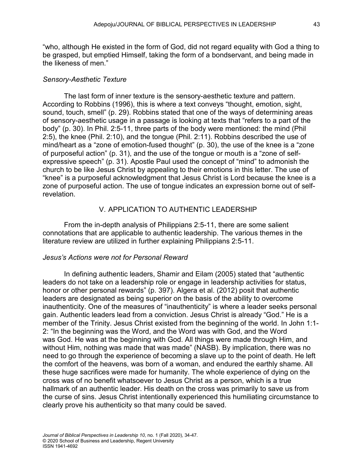"who, although He existed in the form of God, did not regard equality with God a thing to be grasped, but emptied Himself, taking the form of a bondservant, and being made in the likeness of men."

# *Sensory-Aesthetic Texture*

The last form of inner texture is the sensory-aesthetic texture and pattern. According to Robbins (1996), this is where a text conveys "thought, emotion, sight, sound, touch, smell" (p. 29). Robbins stated that one of the ways of determining areas of sensory-aesthetic usage in a passage is looking at texts that "refers to a part of the body" (p. 30). In Phil. 2:5-11, three parts of the body were mentioned: the mind (Phil 2:5), the knee (Phil. 2:10), and the tongue (Phil. 2:11). Robbins described the use of mind/heart as a "zone of emotion-fused thought" (p. 30), the use of the knee is a "zone of purposeful action" (p. 31), and the use of the tongue or mouth is a "zone of selfexpressive speech" (p. 31). Apostle Paul used the concept of "mind" to admonish the church to be like Jesus Christ by appealing to their emotions in this letter. The use of "knee" is a purposeful acknowledgment that Jesus Christ is Lord because the knee is a zone of purposeful action. The use of tongue indicates an expression borne out of selfrevelation.

# V. APPLICATION TO AUTHENTIC LEADERSHIP

From the in-depth analysis of Philippians 2:5-11, there are some salient connotations that are applicable to authentic leadership. The various themes in the literature review are utilized in further explaining Philippians 2:5-11.

# *Jesus's Actions were not for Personal Reward*

In defining authentic leaders, Shamir and Eilam (2005) stated that "authentic leaders do not take on a leadership role or engage in leadership activities for status, honor or other personal rewards" (p. 397). Algera et al. (2012) posit that authentic leaders are designated as being superior on the basis of the ability to overcome inauthenticity. One of the measures of "inauthenticity" is where a leader seeks personal gain. Authentic leaders lead from a conviction. Jesus Christ is already "God." He is a member of the Trinity. Jesus Christ existed from the beginning of the world. In John 1:1- 2: "In the beginning was the Word, and the Word was with God, and the Word was God. He was at the beginning with God. All things were made through Him, and without Him, nothing was made that was made" (NASB). By implication, there was no need to go through the experience of becoming a slave up to the point of death. He left the comfort of the heavens, was born of a woman, and endured the earthly shame. All these huge sacrifices were made for humanity. The whole experience of dying on the cross was of no benefit whatsoever to Jesus Christ as a person, which is a true hallmark of an authentic leader. His death on the cross was primarily to save us from the curse of sins. Jesus Christ intentionally experienced this humiliating circumstance to clearly prove his authenticity so that many could be saved.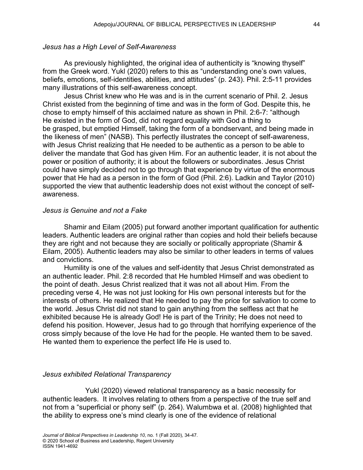### *Jesus has a High Level of Self-Awareness*

As previously highlighted, the original idea of authenticity is "knowing thyself" from the Greek word. Yukl (2020) refers to this as "understanding one's own values, beliefs, emotions, self-identities, abilities, and attitudes" (p. 243). Phil. 2:5-11 provides many illustrations of this self-awareness concept.

Jesus Christ knew who He was and is in the current scenario of Phil. 2. Jesus Christ existed from the beginning of time and was in the form of God. Despite this, he chose to empty himself of this acclaimed nature as shown in Phil. 2:6-7: "although He existed in the form of God, did not regard equality with God a thing to be grasped, but emptied Himself, taking the form of a bondservant, and being made in the likeness of men" (NASB). This perfectly illustrates the concept of self-awareness, with Jesus Christ realizing that He needed to be authentic as a person to be able to deliver the mandate that God has given Him. For an authentic leader, it is not about the power or position of authority; it is about the followers or subordinates. Jesus Christ could have simply decided not to go through that experience by virtue of the enormous power that He had as a person in the form of God (Phil. 2:6). Ladkin and Taylor (2010) supported the view that authentic leadership does not exist without the concept of selfawareness.

### *Jesus is Genuine and not a Fake*

Shamir and Eilam (2005) put forward another important qualification for authentic leaders. Authentic leaders are original rather than copies and hold their beliefs because they are right and not because they are socially or politically appropriate (Shamir & Eilam, 2005). Authentic leaders may also be similar to other leaders in terms of values and convictions.

Humility is one of the values and self-identity that Jesus Christ demonstrated as an authentic leader. Phil. 2:8 recorded that He humbled Himself and was obedient to the point of death. Jesus Christ realized that it was not all about Him. From the preceding verse 4, He was not just looking for His own personal interests but for the interests of others. He realized that He needed to pay the price for salvation to come to the world. Jesus Christ did not stand to gain anything from the selfless act that he exhibited because He is already God! He is part of the Trinity; He does not need to defend his position. However, Jesus had to go through that horrifying experience of the cross simply because of the love He had for the people. He wanted them to be saved. He wanted them to experience the perfect life He is used to.

# *Jesus exhibited Relational Transparency*

Yukl (2020) viewed relational transparency as a basic necessity for authentic leaders. It involves relating to others from a perspective of the true self and not from a "superficial or phony self" (p. 264). Walumbwa et al. (2008) highlighted that the ability to express one's mind clearly is one of the evidence of relational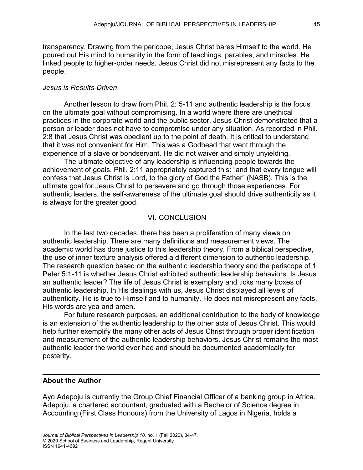transparency. Drawing from the pericope, Jesus Christ bares Himself to the world. He poured out His mind to humanity in the form of teachings, parables, and miracles. He linked people to higher-order needs. Jesus Christ did not misrepresent any facts to the people.

#### *Jesus is Results-Driven*

Another lesson to draw from Phil. 2: 5-11 and authentic leadership is the focus on the ultimate goal without compromising. In a world where there are unethical practices in the corporate world and the public sector, Jesus Christ demonstrated that a person or leader does not have to compromise under any situation. As recorded in Phil. 2:8 that Jesus Christ was obedient up to the point of death. It is critical to understand that it was not convenient for Him. This was a Godhead that went through the experience of a slave or bondservant. He did not waiver and simply unyielding.

The ultimate objective of any leadership is influencing people towards the achievement of goals. Phil. 2:11 appropriately captured this: "and that every tongue will confess that Jesus Christ is Lord, to the glory of God the Father" (NASB). This is the ultimate goal for Jesus Christ to persevere and go through those experiences. For authentic leaders, the self-awareness of the ultimate goal should drive authenticity as it is always for the greater good.

#### VI. CONCLUSION

In the last two decades, there has been a proliferation of many views on authentic leadership. There are many definitions and measurement views. The academic world has done justice to this leadership theory. From a biblical perspective, the use of inner texture analysis offered a different dimension to authentic leadership. The research question based on the authentic leadership theory and the periscope of 1 Peter 5:1-11 is whether Jesus Christ exhibited authentic leadership behaviors. Is Jesus an authentic leader? The life of Jesus Christ is exemplary and ticks many boxes of authentic leadership. In His dealings with us, Jesus Christ displayed all levels of authenticity. He is true to Himself and to humanity. He does not misrepresent any facts. His words are yea and amen.

For future research purposes, an additional contribution to the body of knowledge is an extension of the authentic leadership to the other acts of Jesus Christ. This would help further exemplify the many other acts of Jesus Christ through proper identification and measurement of the authentic leadership behaviors. Jesus Christ remains the most authentic leader the world ever had and should be documented academically for posterity.

#### **About the Author**

Ayo Adepoju is currently the Group Chief Financial Officer of a banking group in Africa. Adepoju, a chartered accountant, graduated with a Bachelor of Science degree in Accounting (First Class Honours) from the University of Lagos in Nigeria, holds a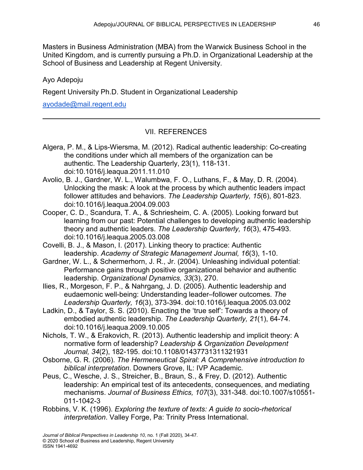Masters in Business Administration (MBA) from the Warwick Business School in the United Kingdom, and is currently pursuing a Ph.D. in Organizational Leadership at the School of Business and Leadership at Regent University.

## Ayo Adepoju

Regent University Ph.D. Student in Organizational Leadership

[ayodade@mail.regent.edu](mailto:ayodade@mail.regent.edu)

# VII. REFERENCES

- Algera, P. M., & Lips-Wiersma, M. (2012). Radical authentic leadership: Co-creating the conditions under which all members of the organization can be authentic. The Leadership Quarterly, 23(1), 118-131. doi:10.1016/j.leaqua.2011.11.010
- Avolio, B. J., Gardner, W. L., Walumbwa, F. O., Luthans, F., & May, D. R. (2004). Unlocking the mask: A look at the process by which authentic leaders impact follower attitudes and behaviors. *The Leadership Quarterly, 15*(6), 801-823. doi:10.1016/j.leaqua.2004.09.003
- Cooper, C. D., Scandura, T. A., & Schriesheim, C. A. (2005). Looking forward but learning from our past: Potential challenges to developing authentic leadership theory and authentic leaders. *The Leadership Quarterly, 16*(3), 475-493. doi:10.1016/j.leaqua.2005.03.008
- Covelli, B. J., & Mason, I. (2017). Linking theory to practice: Authentic leadership. *Academy of Strategic Management Journal, 16*(3), 1-10.
- Gardner, W. L., & Schermerhorn, J. R., Jr. (2004). Unleashing individual potential: Performance gains through positive organizational behavior and authentic leadership. *Organizational Dynamics, 33*(3), 270.
- Ilies, R., Morgeson, F. P., & Nahrgang, J. D. (2005). Authentic leadership and eudaemonic well-being: Understanding leader–follower outcomes. *The Leadership Quarterly, 16*(3), 373-394. doi:10.1016/j.leaqua.2005.03.002
- Ladkin, D., & Taylor, S. S. (2010). Enacting the 'true self': Towards a theory of embodied authentic leadership. *The Leadership Quarterly, 21*(1), 64-74. doi:10.1016/j.leaqua.2009.10.005
- Nichols, T. W., & Erakovich, R. (2013). Authentic leadership and implicit theory: A normative form of leadership? *Leadership & Organization Development Journal, 34*(2), 182-195. doi:10.1108/01437731311321931
- Osborne, G. R. (2006). *The Hermeneutical Spiral: A Comprehensive introduction to biblical interpretation*. Downers Grove, IL: IVP Academic.
- Peus, C., Wesche, J. S., Streicher, B., Braun, S., & Frey, D. (2012). Authentic leadership: An empirical test of its antecedents, consequences, and mediating mechanisms. *Journal of Business Ethics, 107*(3), 331-348. doi:10.1007/s10551- 011-1042-3
- Robbins, V. K. (1996). *Exploring the texture of texts: A guide to socio-rhetorical interpretation*. Valley Forge, Pa: Trinity Press International.